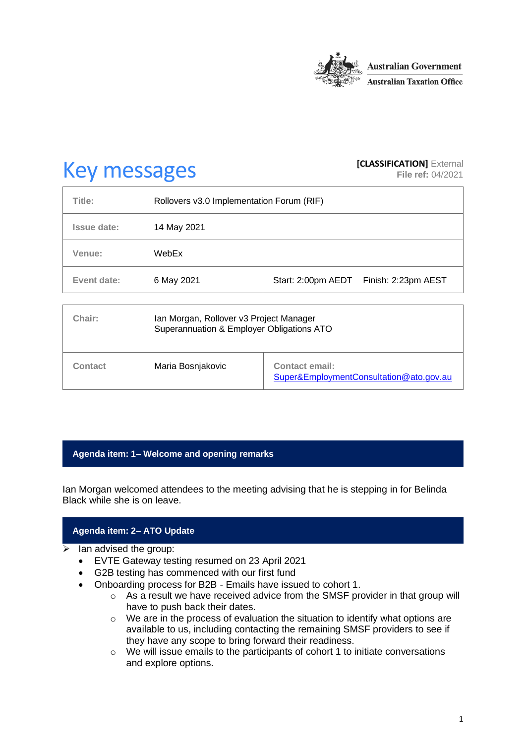

# **Key messages [CLASSIFICATION]** External **[CLASSIFICATION]** External

**File ref:** 04/2021

| Title:             | Rollovers v3.0 Implementation Forum (RIF)                                            |                                                                  |  |
|--------------------|--------------------------------------------------------------------------------------|------------------------------------------------------------------|--|
| <b>Issue date:</b> | 14 May 2021                                                                          |                                                                  |  |
| Venue:             | WebEx                                                                                |                                                                  |  |
| Event date:        | 6 May 2021                                                                           | Start: 2:00pm AEDT<br>Finish: 2:23pm AEST                        |  |
| Chair:             | Ian Morgan, Rollover v3 Project Manager<br>Superannuation & Employer Obligations ATO |                                                                  |  |
| <b>Contact</b>     | Maria Bosnjakovic                                                                    | <b>Contact email:</b><br>Super&EmploymentConsultation@ato.gov.au |  |

## **Agenda item: 1– Welcome and opening remarks**

Ian Morgan welcomed attendees to the meeting advising that he is stepping in for Belinda Black while she is on leave.

# **Agenda item: 2– ATO Update**

- $\triangleright$  Ian advised the group:
	- EVTE Gateway testing resumed on 23 April 2021
	- G2B testing has commenced with our first fund
	- Onboarding process for B2B Emails have issued to cohort 1.
		- o As a result we have received advice from the SMSF provider in that group will have to push back their dates.
		- o We are in the process of evaluation the situation to identify what options are available to us, including contacting the remaining SMSF providers to see if they have any scope to bring forward their readiness.
		- o We will issue emails to the participants of cohort 1 to initiate conversations and explore options.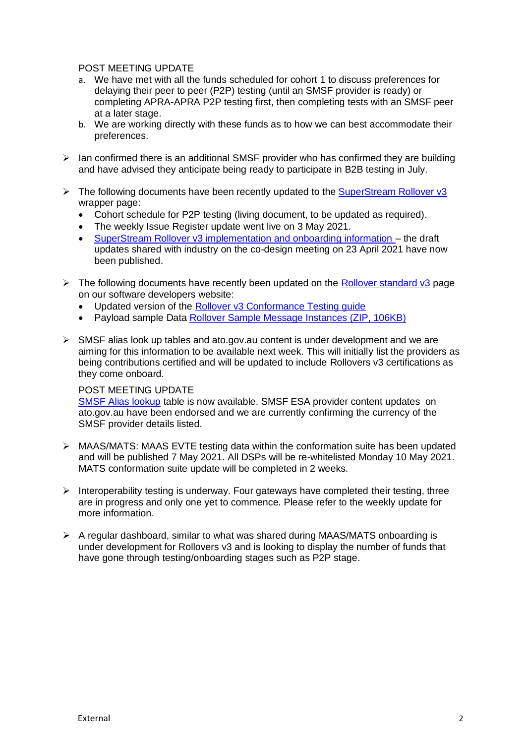## POST MEETING UPDATE

- a. We have met with all the funds scheduled for cohort 1 to discuss preferences for delaying their peer to peer (P2P) testing (until an SMSF provider is ready) or completing APRA-APRA P2P testing first, then completing tests with an SMSF peer at a later stage.
- b. We are working directly with these funds as to how we can best accommodate their preferences.
- $\triangleright$  Ian confirmed there is an additional SMSF provider who has confirmed they are building and have advised they anticipate being ready to participate in B2B testing in July.
- ➢ The following documents have been recently updated to the [SuperStream Rollover v3](https://www.ato.gov.au/Super/Sup/SuperStream-Rollover-v3/) wrapper page:
	- Cohort schedule for P2P testing (living document, to be updated as required).
	- The weekly Issue Register update went live on 3 May 2021.
	- [SuperStream Rollover v3 implementation and onboarding information](https://www.ato.gov.au/Super/Sup/SuperStream-Rollover-v3/) the draft updates shared with industry on the co-design meeting on 23 April 2021 have now been published.
- $\triangleright$  The following documents have recently been updated on the [Rollover standard v3](https://softwaredevelopers.ato.gov.au/rolloverV3) page on our software developers website:
	- Updated version of the Rollover v3 Conformance Testing quide
	- Payload sample Data [Rollover Sample Message Instances \(ZIP, 106KB\)](https://softwaredevelopers.ato.gov.au/sites/default/files/2021-04/Rv3_Sample_Payloads_20210428.zip)
- ➢ SMSF alias look up tables and ato.gov.au content is under development and we are aiming for this information to be available next week. This will initially list the providers as being contributions certified and will be updated to include Rollovers v3 certifications as they come onboard.

#### POST MEETING UPDATE

[SMSF Alias lookup](https://softwaredevelopers.ato.gov.au/supervalidationservices) table is now available. SMSF ESA provider content updates on ato.gov.au have been endorsed and we are currently confirming the currency of the SMSF provider details listed.

- $\triangleright$  MAAS/MATS: MAAS EVTE testing data within the conformation suite has been updated and will be published 7 May 2021. All DSPs will be re-whitelisted Monday 10 May 2021. MATS conformation suite update will be completed in 2 weeks.
- ➢ Interoperability testing is underway. Four gateways have completed their testing, three are in progress and only one yet to commence. Please refer to the weekly update for more information.
- $\triangleright$  A regular dashboard, similar to what was shared during MAAS/MATS onboarding is under development for Rollovers v3 and is looking to display the number of funds that have gone through testing/onboarding stages such as P2P stage.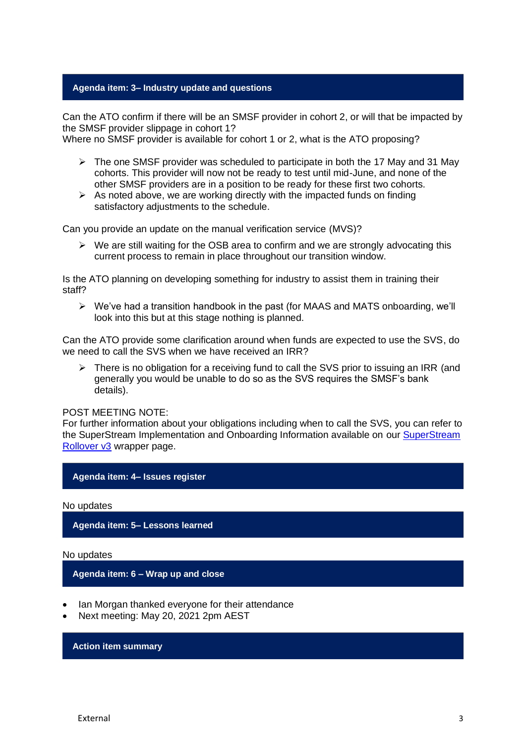#### **Agenda item: 3– Industry update and questions**

Can the ATO confirm if there will be an SMSF provider in cohort 2, or will that be impacted by the SMSF provider slippage in cohort 1?

Where no SMSF provider is available for cohort 1 or 2, what is the ATO proposing?

- $\triangleright$  The one SMSF provider was scheduled to participate in both the 17 May and 31 May cohorts. This provider will now not be ready to test until mid-June, and none of the other SMSF providers are in a position to be ready for these first two cohorts.
- $\triangleright$  As noted above, we are working directly with the impacted funds on finding satisfactory adjustments to the schedule.

Can you provide an update on the manual verification service (MVS)?

 $\triangleright$  We are still waiting for the OSB area to confirm and we are strongly advocating this current process to remain in place throughout our transition window.

Is the ATO planning on developing something for industry to assist them in training their staff?

 $\triangleright$  We've had a transition handbook in the past (for MAAS and MATS onboarding, we'll look into this but at this stage nothing is planned.

Can the ATO provide some clarification around when funds are expected to use the SVS, do we need to call the SVS when we have received an IRR?

 $\triangleright$  There is no obligation for a receiving fund to call the SVS prior to issuing an IRR (and generally you would be unable to do so as the SVS requires the SMSF's bank details).

POST MEETING NOTE:

For further information about your obligations including when to call the SVS, you can refer to the SuperStream Implementation and Onboarding Information available on our [SuperStream](https://softwaredevelopers.ato.gov.au/rolloverV3)  [Rollover v3](https://softwaredevelopers.ato.gov.au/rolloverV3) wrapper page.

#### **Agenda item: 4– Issues register**

No updates

**Agenda item: 5– Lessons learned** 

No updates

**Agenda item: 6 – Wrap up and close**

- Ian Morgan thanked everyone for their attendance
- Next meeting: May 20, 2021 2pm AEST

#### **Action item summary**